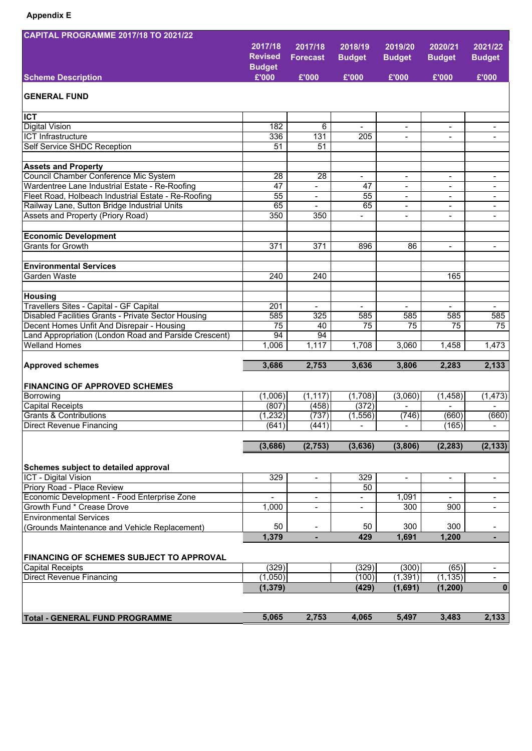| <b>CAPITAL PROGRAMME 2017/18 TO 2021/22</b>           |                  |                          |                          |                          |                          |                                                      |
|-------------------------------------------------------|------------------|--------------------------|--------------------------|--------------------------|--------------------------|------------------------------------------------------|
|                                                       | 2017/18          | 2017/18                  | 2018/19                  | 2019/20                  | 2020/21                  | 2021/22                                              |
|                                                       | <b>Revised</b>   | <b>Forecast</b>          | <b>Budget</b>            | <b>Budget</b>            | <b>Budget</b>            | <b>Budget</b>                                        |
|                                                       | <b>Budget</b>    |                          |                          |                          |                          |                                                      |
| <b>Scheme Description</b>                             | £'000            | £'000                    | £'000                    | £'000                    | £'000                    | £'000                                                |
|                                                       |                  |                          |                          |                          |                          |                                                      |
| <b>GENERAL FUND</b>                                   |                  |                          |                          |                          |                          |                                                      |
| <b>ICT</b>                                            |                  |                          |                          |                          |                          |                                                      |
| <b>Digital Vision</b>                                 | 182              | 6                        | $\overline{\phantom{a}}$ | $\overline{\phantom{a}}$ | $\overline{\phantom{a}}$ | $\overline{\phantom{a}}$                             |
| ICT Infrastructure                                    | 336              | 131                      | 205                      | $\overline{\phantom{a}}$ | $\overline{\phantom{a}}$ | $\overline{\phantom{a}}$                             |
| Self Service SHDC Reception                           | 51               | 51                       |                          |                          |                          |                                                      |
|                                                       |                  |                          |                          |                          |                          |                                                      |
| <b>Assets and Property</b>                            |                  |                          |                          |                          |                          |                                                      |
| Council Chamber Conference Mic System                 | 28               | 28                       |                          |                          |                          | $\overline{\phantom{a}}$                             |
| Wardentree Lane Industrial Estate - Re-Roofing        | 47               | $\blacksquare$           | 47                       | $\overline{\phantom{a}}$ | $\overline{\phantom{a}}$ | $\overline{\phantom{a}}$                             |
| Fleet Road, Holbeach Industrial Estate - Re-Roofing   | 55               | $\blacksquare$           | 55                       | $\overline{\phantom{a}}$ | $\overline{\phantom{a}}$ | $\overline{\phantom{a}}$                             |
| Railway Lane, Sutton Bridge Industrial Units          | 65               |                          | 65                       | $\overline{\phantom{0}}$ |                          | $\overline{\phantom{a}}$                             |
| Assets and Property (Priory Road)                     | 350              | 350                      | $\blacksquare$           | $\blacksquare$           | $\overline{\phantom{a}}$ | $\blacksquare$                                       |
|                                                       |                  |                          |                          |                          |                          |                                                      |
| <b>Economic Development</b>                           |                  |                          |                          |                          |                          |                                                      |
| <b>Grants for Growth</b>                              | 371              | 371                      | 896                      | 86                       | $\overline{\phantom{a}}$ | $\overline{\phantom{a}}$                             |
|                                                       |                  |                          |                          |                          |                          |                                                      |
| <b>Environmental Services</b>                         |                  |                          |                          |                          |                          |                                                      |
| Garden Waste                                          | $\overline{240}$ | 240                      |                          |                          | 165                      |                                                      |
|                                                       |                  |                          |                          |                          |                          |                                                      |
| Housing                                               |                  |                          |                          |                          |                          |                                                      |
| Travellers Sites - Capital - GF Capital               | 201              | $\overline{\phantom{0}}$ |                          |                          |                          |                                                      |
| Disabled Facilities Grants - Private Sector Housing   | 585              | 325                      | 585                      | 585                      | 585                      | 585                                                  |
| Decent Homes Unfit And Disrepair - Housing            | $\overline{75}$  | 40                       | $\overline{75}$          | $\overline{75}$          | $\overline{75}$          | 75                                                   |
| Land Appropriation (London Road and Parside Crescent) | 94               | 94                       |                          |                          |                          |                                                      |
| <b>Welland Homes</b>                                  | 1,006            | 1,117                    | 1,708                    | 3,060                    | 1,458                    | 1,473                                                |
|                                                       | 3,686            | 2,753                    | 3,636                    | 3,806                    | 2,283                    | 2,133                                                |
| <b>Approved schemes</b>                               |                  |                          |                          |                          |                          |                                                      |
| <b>FINANCING OF APPROVED SCHEMES</b>                  |                  |                          |                          |                          |                          |                                                      |
| Borrowing                                             | (1,006)          | (1, 117)                 | (1,708)                  | (3,060)                  | (1, 458)                 | (1, 473)                                             |
| Capital Receipts                                      | (807)            | (458)                    | (372)                    |                          |                          |                                                      |
| <b>Grants &amp; Contributions</b>                     | (1, 232)         | (737)                    | (1, 556)                 | (746)                    | (660)                    | (660)                                                |
| Direct Revenue Financing                              | (641)            | (441)                    |                          |                          | (165)                    | $\overline{\phantom{a}}$                             |
|                                                       |                  |                          |                          |                          |                          |                                                      |
|                                                       | (3,686)          | (2,753)                  | (3,636)                  | (3,806)                  | (2, 283)                 | (2, 133)                                             |
|                                                       |                  |                          |                          |                          |                          |                                                      |
| Schemes subject to detailed approval                  |                  |                          |                          |                          |                          |                                                      |
| ICT - Digital Vision                                  | 329              | $\overline{\phantom{a}}$ | 329                      | $\overline{\phantom{a}}$ | $\overline{\phantom{a}}$ | $\overline{\phantom{a}}$                             |
| Priory Road - Place Review                            |                  |                          | 50                       |                          |                          |                                                      |
| Economic Development - Food Enterprise Zone           | $\overline{a}$   | $\overline{a}$           | $\overline{a}$           | 1,091                    | $\overline{a}$           | $\blacksquare$                                       |
| Growth Fund * Crease Drove                            | 1,000            | $\overline{\phantom{0}}$ | $\overline{\phantom{a}}$ | 300                      | 900                      | $\overline{\phantom{a}}$                             |
| <b>Environmental Services</b>                         |                  |                          |                          |                          |                          |                                                      |
| (Grounds Maintenance and Vehicle Replacement)         | 50               | $\overline{\phantom{0}}$ | 50                       | 300                      | 300                      | -                                                    |
|                                                       | 1,379            | ٠                        | 429                      | 1,691                    | 1,200                    | ٠                                                    |
|                                                       |                  |                          |                          |                          |                          |                                                      |
| <b>FINANCING OF SCHEMES SUBJECT TO APPROVAL</b>       |                  |                          |                          |                          |                          |                                                      |
| <b>Capital Receipts</b>                               | (329)            |                          | (329)                    | (300)                    | (65)                     | $\overline{\phantom{a}}$<br>$\overline{\phantom{0}}$ |
| <b>Direct Revenue Financing</b>                       | (1,050)          |                          | (100)                    | (1, 391)                 | (1, 135)                 | $\mathbf 0$                                          |
|                                                       | (1, 379)         |                          | (429)                    | (1,691)                  | (1, 200)                 |                                                      |
|                                                       |                  |                          |                          |                          |                          |                                                      |
| <b>Total - GENERAL FUND PROGRAMME</b>                 | 5,065            | 2,753                    | 4,065                    | 5,497                    | 3,483                    | 2,133                                                |